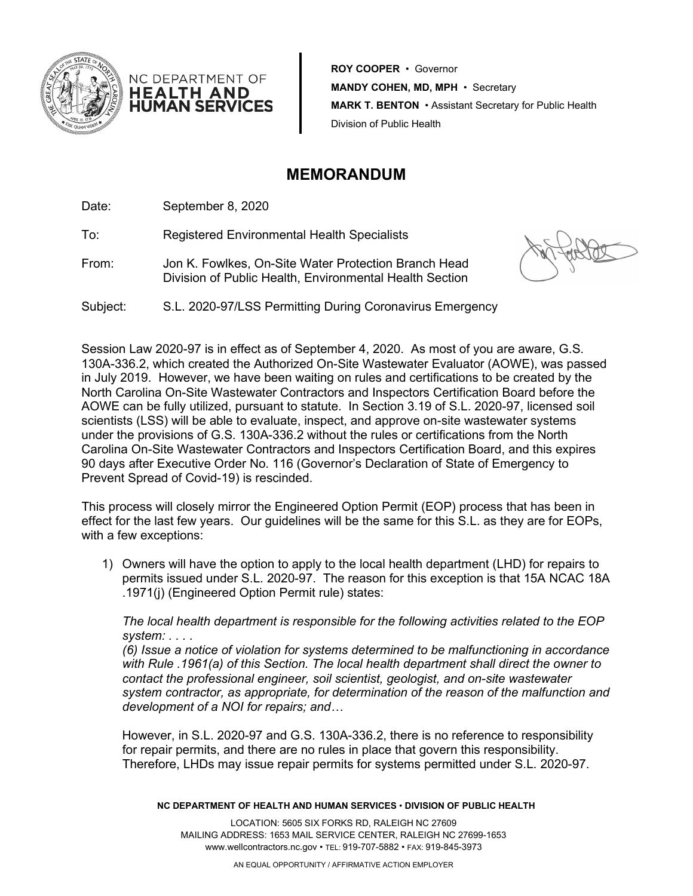

**ROY COOPER** • Governor **MANDY COHEN, MD, MPH** • Secretary **MARK T. BENTON** • Assistant Secretary for Public Health Division of Public Health

## **MEMORANDUM**

Date: September 8, 2020

NC DEPARTMENT OF **HEALTH AND HUMAN SERVICES** 

To: Registered Environmental Health Specialists

From: Jon K. Fowlkes, On-Site Water Protection Branch Head Division of Public Health, Environmental Health Section

Subject: S.L. 2020-97/LSS Permitting During Coronavirus Emergency

Session Law 2020-97 is in effect as of September 4, 2020. As most of you are aware, G.S. 130A-336.2, which created the Authorized On-Site Wastewater Evaluator (AOWE), was passed in July 2019. However, we have been waiting on rules and certifications to be created by the North Carolina On-Site Wastewater Contractors and Inspectors Certification Board before the AOWE can be fully utilized, pursuant to statute. In Section 3.19 of S.L. 2020-97, licensed soil scientists (LSS) will be able to evaluate, inspect, and approve on-site wastewater systems under the provisions of G.S. 130A-336.2 without the rules or certifications from the North Carolina On-Site Wastewater Contractors and Inspectors Certification Board, and this expires 90 days after Executive Order No. 116 (Governor's Declaration of State of Emergency to Prevent Spread of Covid-19) is rescinded.

This process will closely mirror the Engineered Option Permit (EOP) process that has been in effect for the last few years. Our guidelines will be the same for this S.L. as they are for EOPs, with a few exceptions:

1) Owners will have the option to apply to the local health department (LHD) for repairs to permits issued under S.L. 2020-97. The reason for this exception is that 15A NCAC 18A .1971(j) (Engineered Option Permit rule) states:

*The local health department is responsible for the following activities related to the EOP system: . . . .* 

*(6) Issue a notice of violation for systems determined to be malfunctioning in accordance with Rule .1961(a) of this Section. The local health department shall direct the owner to contact the professional engineer, soil scientist, geologist, and on-site wastewater system contractor, as appropriate, for determination of the reason of the malfunction and development of a NOI for repairs; and…*

However, in S.L. 2020-97 and G.S. 130A-336.2, there is no reference to responsibility for repair permits, and there are no rules in place that govern this responsibility. Therefore, LHDs may issue repair permits for systems permitted under S.L. 2020-97.

**NC DEPARTMENT OF HEALTH AND HUMAN SERVICES** • **DIVISION OF PUBLIC HEALTH**

LOCATION: 5605 SIX FORKS RD, RALEIGH NC 27609 MAILING ADDRESS: 1653 MAIL SERVICE CENTER, RALEIGH NC 27699-1653 www.wellcontractors.nc.gov • TEL: 919-707-5882 • FAX: 919-845-3973